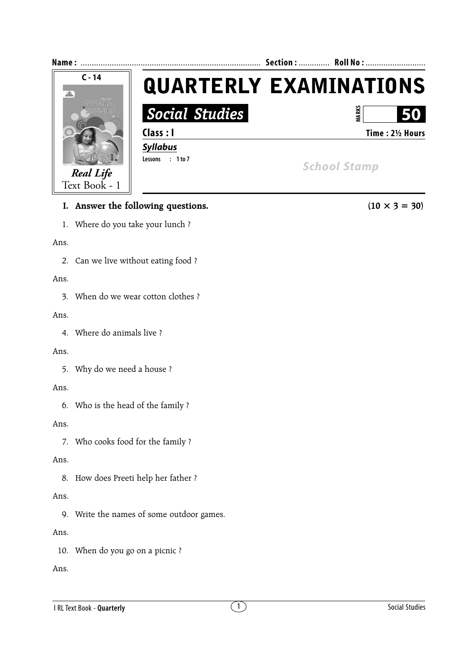

# **I.** Answer the following questions. (10  $\times$  3 = 30)

1. Where do you take your lunch ?

#### Ans.

2. Can we live without eating food ?

#### Ans.

3. When do we wear cotton clothes ?

#### Ans.

4. Where do animals live ?

### Ans.

5. Why do we need a house ?

### Ans.

6. Who is the head of the family ?

### Ans.

7. Who cooks food for the family ?

# Ans.

8. How does Preeti help her father ?

# Ans.

9. Write the names of some outdoor games.

# Ans.

10. When do you go on a picnic ?

# Ans.